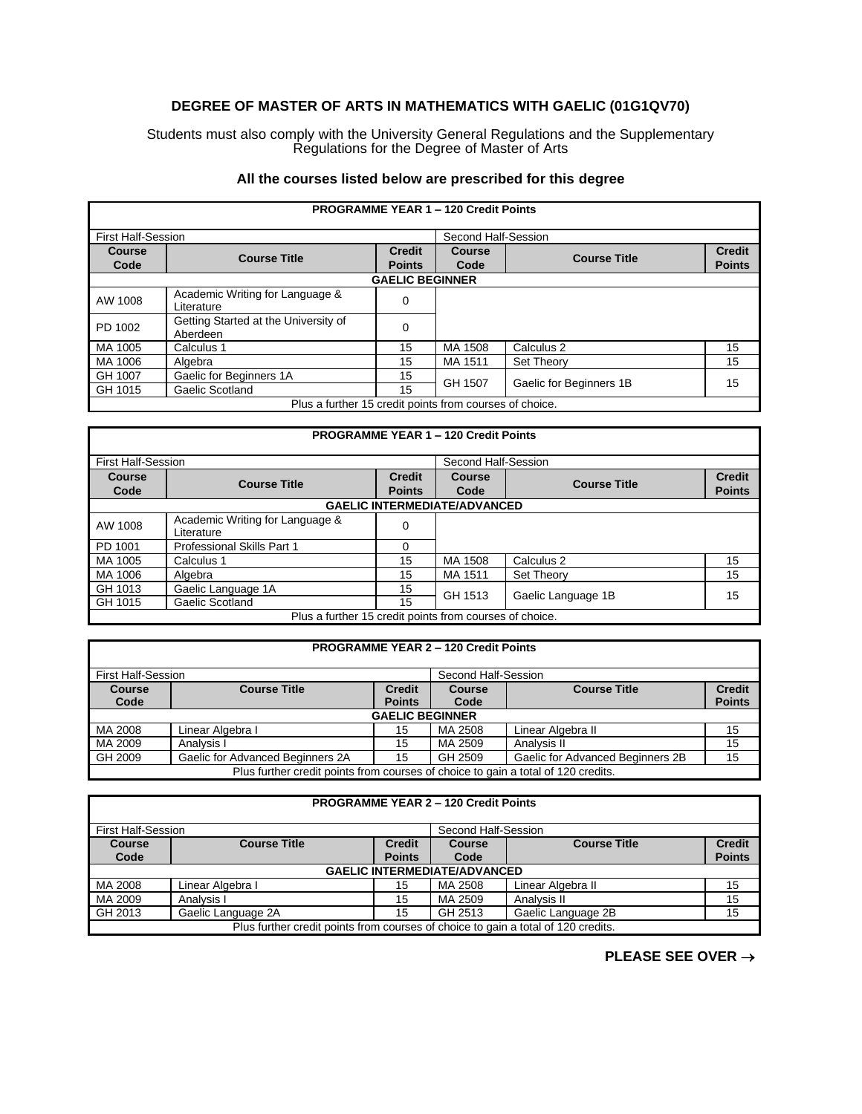## **DEGREE OF MASTER OF ARTS IN MATHEMATICS WITH GAELIC (01G1QV70)**

Students must also comply with the University General Regulations and the Supplementary Regulations for the Degree of Master of Arts

## **All the courses listed below are prescribed for this degree**

| <b>PROGRAMME YEAR 1 - 120 Credit Points</b>             |                                                  |                                |                |                         |                                |  |
|---------------------------------------------------------|--------------------------------------------------|--------------------------------|----------------|-------------------------|--------------------------------|--|
|                                                         | <b>First Half-Session</b>                        |                                |                | Second Half-Session     |                                |  |
| <b>Course</b><br>Code                                   | <b>Course Title</b>                              | <b>Credit</b><br><b>Points</b> | Course<br>Code | <b>Course Title</b>     | <b>Credit</b><br><b>Points</b> |  |
|                                                         | <b>GAELIC BEGINNER</b>                           |                                |                |                         |                                |  |
| AW 1008                                                 | Academic Writing for Language &<br>Literature    | 0                              |                |                         |                                |  |
| PD 1002                                                 | Getting Started at the University of<br>Aberdeen | 0                              |                |                         |                                |  |
| MA 1005                                                 | Calculus 1                                       | 15                             | MA 1508        | Calculus <sub>2</sub>   | 15                             |  |
| MA 1006                                                 | Algebra                                          | 15                             | MA 1511        | <b>Set Theory</b>       | 15                             |  |
| GH 1007                                                 | Gaelic for Beginners 1A                          | 15                             |                | Gaelic for Beginners 1B | 15                             |  |
| GH 1015                                                 | Gaelic Scotland                                  | 15                             | GH 1507        |                         |                                |  |
| Plus a further 15 credit points from courses of choice. |                                                  |                                |                |                         |                                |  |

| <b>PROGRAMME YEAR 1 - 120 Credit Points</b>             |                                               |               |                     |                     |               |  |  |
|---------------------------------------------------------|-----------------------------------------------|---------------|---------------------|---------------------|---------------|--|--|
| <b>First Half-Session</b>                               |                                               |               | Second Half-Session |                     |               |  |  |
| <b>Course</b>                                           | <b>Course Title</b>                           | <b>Credit</b> | <b>Course</b>       | <b>Course Title</b> | <b>Credit</b> |  |  |
| Code                                                    |                                               | <b>Points</b> | Code                |                     | <b>Points</b> |  |  |
|                                                         | <b>GAELIC INTERMEDIATE/ADVANCED</b>           |               |                     |                     |               |  |  |
| AW 1008                                                 | Academic Writing for Language &<br>Literature | 0             |                     |                     |               |  |  |
| PD 1001                                                 | <b>Professional Skills Part 1</b>             |               |                     |                     |               |  |  |
| MA 1005                                                 | Calculus 1                                    | 15            | MA 1508             | Calculus 2          | 15            |  |  |
| MA 1006                                                 | Algebra                                       | 15            | MA 1511             | <b>Set Theory</b>   | 15            |  |  |
| GH 1013                                                 | Gaelic Language 1A                            | 15            | GH 1513             |                     | 15            |  |  |
| GH 1015                                                 | Gaelic Scotland                               | 15            |                     | Gaelic Language 1B  |               |  |  |
| Plus a further 15 credit points from courses of choice. |                                               |               |                     |                     |               |  |  |

| <b>PROGRAMME YEAR 2 - 120 Credit Points</b>                                       |                                                                              |               |                     |                                  |               |  |  |
|-----------------------------------------------------------------------------------|------------------------------------------------------------------------------|---------------|---------------------|----------------------------------|---------------|--|--|
| <b>First Half-Session</b>                                                         |                                                                              |               | Second Half-Session |                                  |               |  |  |
| <b>Course</b>                                                                     | <b>Course Title</b><br><b>Course Title</b><br><b>Credit</b><br><b>Course</b> |               |                     |                                  | <b>Credit</b> |  |  |
| Code                                                                              |                                                                              | <b>Points</b> | Code                |                                  | <b>Points</b> |  |  |
|                                                                                   | <b>GAELIC BEGINNER</b>                                                       |               |                     |                                  |               |  |  |
| MA 2008                                                                           | Linear Algebra I                                                             | 15            | MA 2508             | Linear Algebra II                | 15            |  |  |
| MA 2009                                                                           | Analysis I                                                                   | 15            | MA 2509             | Analysis II                      | 15            |  |  |
| GH 2009                                                                           | Gaelic for Advanced Beginners 2A                                             | 15            | GH 2509             | Gaelic for Advanced Beginners 2B | 15            |  |  |
| Plus further credit points from courses of choice to gain a total of 120 credits. |                                                                              |               |                     |                                  |               |  |  |

| <b>PROGRAMME YEAR 2 - 120 Credit Points</b>                                       |                                                                              |               |                     |                    |               |  |
|-----------------------------------------------------------------------------------|------------------------------------------------------------------------------|---------------|---------------------|--------------------|---------------|--|
| <b>First Half-Session</b>                                                         |                                                                              |               | Second Half-Session |                    |               |  |
| <b>Course</b>                                                                     | <b>Credit</b><br><b>Course Title</b><br><b>Course Title</b><br><b>Course</b> |               |                     |                    | <b>Credit</b> |  |
| Code                                                                              |                                                                              | <b>Points</b> | Code                |                    | <b>Points</b> |  |
| <b>GAELIC INTERMEDIATE/ADVANCED</b>                                               |                                                                              |               |                     |                    |               |  |
| MA 2008                                                                           | Linear Algebra I                                                             | 15            | MA 2508             | Linear Algebra II  | 15            |  |
| MA 2009                                                                           | Analysis I                                                                   | 15            | MA 2509             | Analysis II        | 15            |  |
| GH 2013                                                                           | Gaelic Language 2A                                                           | 15            | GH 2513             | Gaelic Language 2B | 15            |  |
| Plus further credit points from courses of choice to gain a total of 120 credits. |                                                                              |               |                     |                    |               |  |

**PLEASE SEE OVER** →